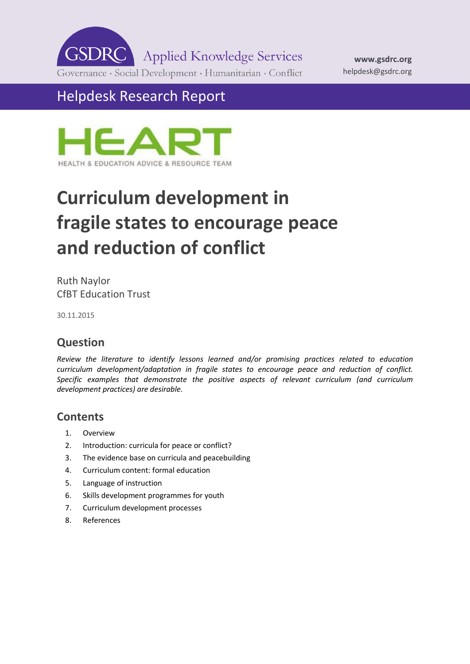**GSDR Applied Knowledge Services** Governance · Social Development · Humanitarian · Conflict

Helpdesk Research Report



# **Curriculum development in fragile states to encourage peace and reduction of conflict**

Ruth Naylor CfBT Education Trust

30.11.2015

# **Question**

*Review the literature to identify lessons learned and/or promising practices related to education curriculum development/adaptation in fragile states to encourage peace and reduction of conflict. Specific examples that demonstrate the positive aspects of relevant curriculum (and curriculum development practices) are desirable.*

### **Contents**

- 1. [Overview](#page-1-0)
- 2. [Introduction: curricula for peace or conflict?](#page-1-1)
- 3. [The evidence base on curricula and peacebuilding](#page-2-0)
- 4. [Curriculum content: formal education](#page-3-0)
- 5. [Language of instruction](#page-8-0)
- 6. [Skills development programmes for youth](#page-8-1)
- 7. [Curriculum development processes](#page-9-0)
- 8. [References](#page-11-0)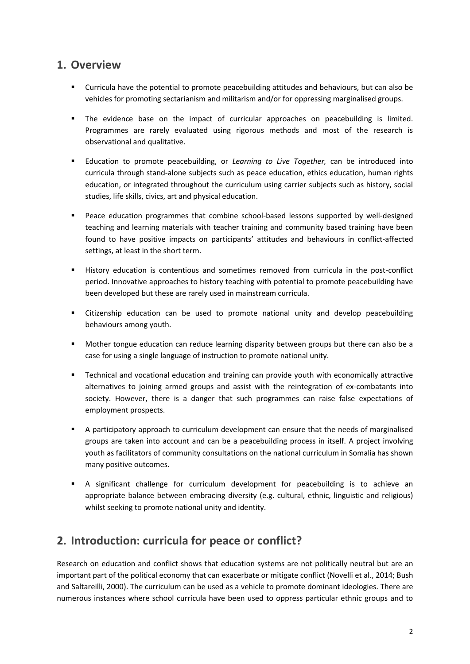### <span id="page-1-0"></span>**1. Overview**

- Curricula have the potential to promote peacebuilding attitudes and behaviours, but can also be vehicles for promoting sectarianism and militarism and/or for oppressing marginalised groups.
- **The evidence base on the impact of curricular approaches on peacebuilding is limited.** Programmes are rarely evaluated using rigorous methods and most of the research is observational and qualitative.
- Education to promote peacebuilding, or *Learning to Live Together,* can be introduced into curricula through stand-alone subjects such as peace education, ethics education, human rights education, or integrated throughout the curriculum using carrier subjects such as history, social studies, life skills, civics, art and physical education.
- Peace education programmes that combine school-based lessons supported by well-designed teaching and learning materials with teacher training and community based training have been found to have positive impacts on participants' attitudes and behaviours in conflict-affected settings, at least in the short term.
- History education is contentious and sometimes removed from curricula in the post-conflict period. Innovative approaches to history teaching with potential to promote peacebuilding have been developed but these are rarely used in mainstream curricula.
- Citizenship education can be used to promote national unity and develop peacebuilding behaviours among youth.
- Mother tongue education can reduce learning disparity between groups but there can also be a case for using a single language of instruction to promote national unity.
- Technical and vocational education and training can provide youth with economically attractive alternatives to joining armed groups and assist with the reintegration of ex-combatants into society. However, there is a danger that such programmes can raise false expectations of employment prospects.
- A participatory approach to curriculum development can ensure that the needs of marginalised groups are taken into account and can be a peacebuilding process in itself. A project involving youth as facilitators of community consultations on the national curriculum in Somalia has shown many positive outcomes.
- A significant challenge for curriculum development for peacebuilding is to achieve an appropriate balance between embracing diversity (e.g. cultural, ethnic, linguistic and religious) whilst seeking to promote national unity and identity.

# <span id="page-1-1"></span>**2. Introduction: curricula for peace or conflict?**

Research on education and conflict shows that education systems are not politically neutral but are an important part of the political economy that can exacerbate or mitigate conflict (Novelli et al., 2014; Bush and Saltareilli, 2000). The curriculum can be used as a vehicle to promote dominant ideologies. There are numerous instances where school curricula have been used to oppress particular ethnic groups and to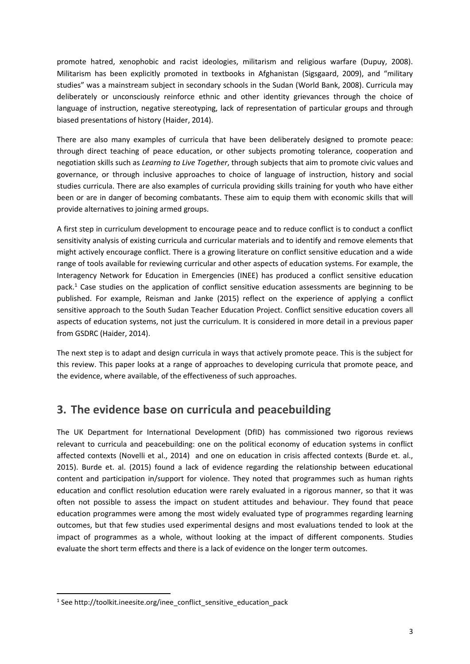promote hatred, xenophobic and racist ideologies, militarism and religious warfare (Dupuy, 2008). Militarism has been explicitly promoted in textbooks in Afghanistan (Sigsgaard, 2009), and "military studies" was a mainstream subject in secondary schools in the Sudan (World Bank, 2008). Curricula may deliberately or unconsciously reinforce ethnic and other identity grievances through the choice of language of instruction, negative stereotyping, lack of representation of particular groups and through biased presentations of history (Haider, 2014).

There are also many examples of curricula that have been deliberately designed to promote peace: through direct teaching of peace education, or other subjects promoting tolerance, cooperation and negotiation skills such as *Learning to Live Together*, through subjects that aim to promote civic values and governance, or through inclusive approaches to choice of language of instruction, history and social studies curricula. There are also examples of curricula providing skills training for youth who have either been or are in danger of becoming combatants. These aim to equip them with economic skills that will provide alternatives to joining armed groups.

A first step in curriculum development to encourage peace and to reduce conflict is to conduct a conflict sensitivity analysis of existing curricula and curricular materials and to identify and remove elements that might actively encourage conflict. There is a growing literature on conflict sensitive education and a wide range of tools available for reviewing curricular and other aspects of education systems. For example, the Interagency Network for Education in Emergencies (INEE) has produced a conflict sensitive education pack.<sup>1</sup> Case studies on the application of conflict sensitive education assessments are beginning to be published. For example, Reisman and Janke (2015) reflect on the experience of applying a conflict sensitive approach to the South Sudan Teacher Education Project. Conflict sensitive education covers all aspects of education systems, not just the curriculum. It is considered in more detail in a previous paper from GSDRC (Haider, 2014).

The next step is to adapt and design curricula in ways that actively promote peace. This is the subject for this review. This paper looks at a range of approaches to developing curricula that promote peace, and the evidence, where available, of the effectiveness of such approaches.

### <span id="page-2-0"></span>**3. The evidence base on curricula and peacebuilding**

The UK Department for International Development (DfID) has commissioned two rigorous reviews relevant to curricula and peacebuilding: one on the political economy of education systems in conflict affected contexts (Novelli et al., 2014) and one on education in crisis affected contexts (Burde et. al., 2015). Burde et. al. (2015) found a lack of evidence regarding the relationship between educational content and participation in/support for violence. They noted that programmes such as human rights education and conflict resolution education were rarely evaluated in a rigorous manner, so that it was often not possible to assess the impact on student attitudes and behaviour. They found that peace education programmes were among the most widely evaluated type of programmes regarding learning outcomes, but that few studies used experimental designs and most evaluations tended to look at the impact of programmes as a whole, without looking at the impact of different components. Studies evaluate the short term effects and there is a lack of evidence on the longer term outcomes.

-

<sup>&</sup>lt;sup>1</sup> See http://toolkit.ineesite.org/inee\_conflict\_sensitive\_education\_pack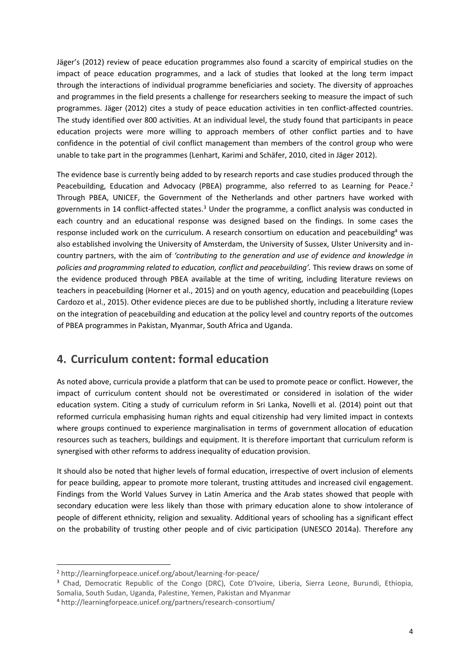Jäger's (2012) review of peace education programmes also found a scarcity of empirical studies on the impact of peace education programmes, and a lack of studies that looked at the long term impact through the interactions of individual programme beneficiaries and society. The diversity of approaches and programmes in the field presents a challenge for researchers seeking to measure the impact of such programmes. Jäger (2012) cites a study of peace education activities in ten conflict-affected countries. The study identified over 800 activities. At an individual level, the study found that participants in peace education projects were more willing to approach members of other conflict parties and to have confidence in the potential of civil conflict management than members of the control group who were unable to take part in the programmes (Lenhart, Karimi and Schäfer, 2010, cited in Jäger 2012).

The evidence base is currently being added to by research reports and case studies produced through the Peacebuilding, Education and Advocacy (PBEA) programme, also referred to as Learning for Peace.<sup>2</sup> Through PBEA, UNICEF, the Government of the Netherlands and other partners have worked with governments in 14 conflict-affected states.<sup>3</sup> Under the programme, a conflict analysis was conducted in each country and an educational response was designed based on the findings. In some cases the response included work on the curriculum. A research consortium on education and peacebuilding<sup>4</sup> was also established involving the University of Amsterdam, the University of Sussex, Ulster University and incountry partners, with the aim of *'contributing to the generation and use of evidence and knowledge in policies and programming related to education, conflict and peacebuilding'.* This review draws on some of the evidence produced through PBEA available at the time of writing, including literature reviews on teachers in peacebuilding (Horner et al., 2015) and on youth agency, education and peacebuilding (Lopes Cardozo et al., 2015). Other evidence pieces are due to be published shortly, including a literature review on the integration of peacebuilding and education at the policy level and country reports of the outcomes of PBEA programmes in Pakistan, Myanmar, South Africa and Uganda.

### <span id="page-3-0"></span>**4. Curriculum content: formal education**

As noted above, curricula provide a platform that can be used to promote peace or conflict. However, the impact of curriculum content should not be overestimated or considered in isolation of the wider education system. Citing a study of curriculum reform in Sri Lanka, Novelli et al. (2014) point out that reformed curricula emphasising human rights and equal citizenship had very limited impact in contexts where groups continued to experience marginalisation in terms of government allocation of education resources such as teachers, buildings and equipment. It is therefore important that curriculum reform is synergised with other reforms to address inequality of education provision.

It should also be noted that higher levels of formal education, irrespective of overt inclusion of elements for peace building, appear to promote more tolerant, trusting attitudes and increased civil engagement. Findings from the World Values Survey in Latin America and the Arab states showed that people with secondary education were less likely than those with primary education alone to show intolerance of people of different ethnicity, religion and sexuality. Additional years of schooling has a significant effect on the probability of trusting other people and of civic participation (UNESCO 2014a). Therefore any

-

<sup>2</sup> http://learningforpeace.unicef.org/about/learning-for-peace/

<sup>&</sup>lt;sup>3</sup> Chad, Democratic Republic of the Congo (DRC), Cote D'Ivoire, Liberia, Sierra Leone, Burundi, Ethiopia, Somalia, South Sudan, Uganda, Palestine, Yemen, Pakistan and Myanmar

<sup>4</sup> http://learningforpeace.unicef.org/partners/research-consortium/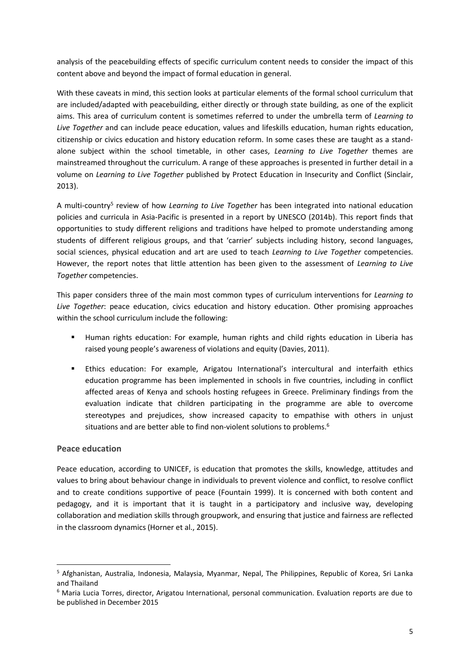analysis of the peacebuilding effects of specific curriculum content needs to consider the impact of this content above and beyond the impact of formal education in general.

With these caveats in mind, this section looks at particular elements of the formal school curriculum that are included/adapted with peacebuilding, either directly or through state building, as one of the explicit aims. This area of curriculum content is sometimes referred to under the umbrella term of *Learning to Live Together* and can include peace education, values and lifeskills education, human rights education, citizenship or civics education and history education reform. In some cases these are taught as a standalone subject within the school timetable, in other cases, *Learning to Live Together* themes are mainstreamed throughout the curriculum. A range of these approaches is presented in further detail in a volume on *Learning to Live Together* published by Protect Education in Insecurity and Conflict (Sinclair, 2013).

A multi-country<sup>5</sup> review of how *Learning to Live Together* has been integrated into national education policies and curricula in Asia-Pacific is presented in a report by UNESCO (2014b). This report finds that opportunities to study different religions and traditions have helped to promote understanding among students of different religious groups, and that 'carrier' subjects including history, second languages, social sciences, physical education and art are used to teach *Learning to Live Together* competencies. However, the report notes that little attention has been given to the assessment of *Learning to Live Together* competencies.

This paper considers three of the main most common types of curriculum interventions for *Learning to Live Together*: peace education, civics education and history education. Other promising approaches within the school curriculum include the following:

- Human rights education: For example, human rights and child rights education in Liberia has raised young people's awareness of violations and equity (Davies, 2011).
- Ethics education: For example, Arigatou International's intercultural and interfaith ethics education programme has been implemented in schools in five countries, including in conflict affected areas of Kenya and schools hosting refugees in Greece. Preliminary findings from the evaluation indicate that children participating in the programme are able to overcome stereotypes and prejudices, show increased capacity to empathise with others in unjust situations and are better able to find non-violent solutions to problems.<sup>6</sup>

#### **Peace education**

-

Peace education, according to UNICEF, is education that promotes the skills, knowledge, attitudes and values to bring about behaviour change in individuals to prevent violence and conflict, to resolve conflict and to create conditions supportive of peace (Fountain 1999). It is concerned with both content and pedagogy, and it is important that it is taught in a participatory and inclusive way, developing collaboration and mediation skills through groupwork, and ensuring that justice and fairness are reflected in the classroom dynamics (Horner et al., 2015).

<sup>5</sup> Afghanistan, Australia, Indonesia, Malaysia, Myanmar, Nepal, The Philippines, Republic of Korea, Sri Lanka and Thailand

<sup>6</sup> Maria Lucia Torres, director, Arigatou International, personal communication. Evaluation reports are due to be published in December 2015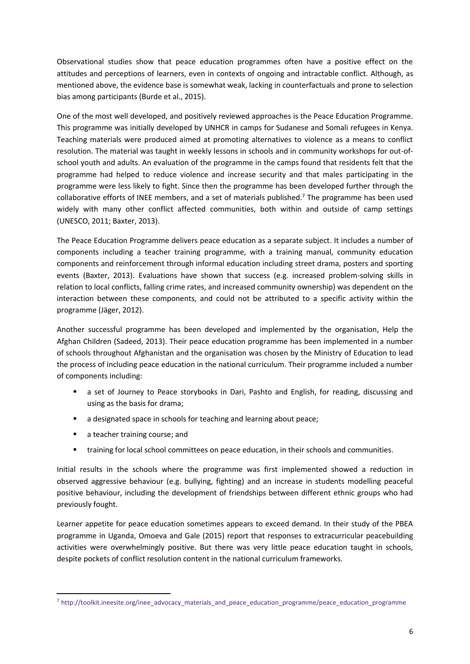Observational studies show that peace education programmes often have a positive effect on the attitudes and perceptions of learners, even in contexts of ongoing and intractable conflict. Although, as mentioned above, the evidence base is somewhat weak, lacking in counterfactuals and prone to selection bias among participants (Burde et al., 2015).

One of the most well developed, and positively reviewed approaches is the Peace Education Programme. This programme was initially developed by UNHCR in camps for Sudanese and Somali refugees in Kenya. Teaching materials were produced aimed at promoting alternatives to violence as a means to conflict resolution. The material was taught in weekly lessons in schools and in community workshops for out-ofschool youth and adults. An evaluation of the programme in the camps found that residents felt that the programme had helped to reduce violence and increase security and that males participating in the programme were less likely to fight. Since then the programme has been developed further through the collaborative efforts of INEE members, and a set of materials published.<sup>7</sup> The programme has been used widely with many other conflict affected communities, both within and outside of camp settings (UNESCO, 2011; Baxter, 2013).

The Peace Education Programme delivers peace education as a separate subject. It includes a number of components including a teacher training programme, with a training manual, community education components and reinforcement through informal education including street drama, posters and sporting events (Baxter, 2013). Evaluations have shown that success (e.g. increased problem-solving skills in relation to local conflicts, falling crime rates, and increased community ownership) was dependent on the interaction between these components, and could not be attributed to a specific activity within the programme (Jäger, 2012).

Another successful programme has been developed and implemented by the organisation, Help the Afghan Children (Sadeed, 2013). Their peace education programme has been implemented in a number of schools throughout Afghanistan and the organisation was chosen by the Ministry of Education to lead the process of including peace education in the national curriculum. Their programme included a number of components including:

- a set of Journey to Peace storybooks in Dari, Pashto and English, for reading, discussing and using as the basis for drama;
- a designated space in schools for teaching and learning about peace;
- a teacher training course; and

-

training for local school committees on peace education, in their schools and communities.

Initial results in the schools where the programme was first implemented showed a reduction in observed aggressive behaviour (e.g. bullying, fighting) and an increase in students modelling peaceful positive behaviour, including the development of friendships between different ethnic groups who had previously fought.

Learner appetite for peace education sometimes appears to exceed demand. In their study of the PBEA programme in Uganda, Omoeva and Gale (2015) report that responses to extracurricular peacebuilding activities were overwhelmingly positive. But there was very little peace education taught in schools, despite pockets of conflict resolution content in the national curriculum frameworks.

 $^7$  [http://toolkit.ineesite.org/inee\\_advocacy\\_materials\\_and\\_peace\\_education\\_programme/peace\\_education\\_programme](http://toolkit.ineesite.org/inee_advocacy_materials_and_peace_education_programme/peace_education_programme)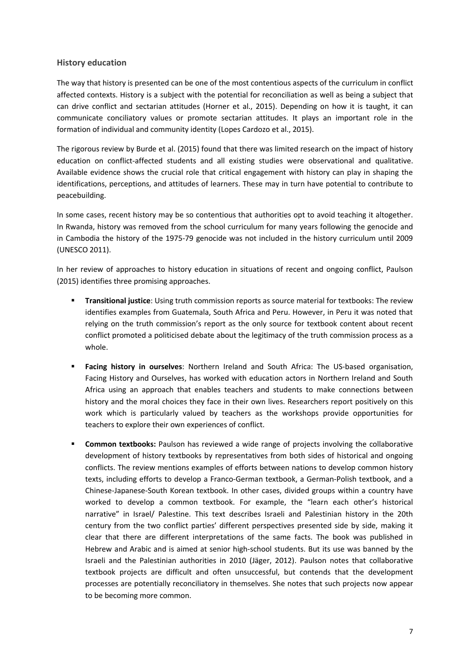#### **History education**

The way that history is presented can be one of the most contentious aspects of the curriculum in conflict affected contexts. History is a subject with the potential for reconciliation as well as being a subject that can drive conflict and sectarian attitudes (Horner et al., 2015). Depending on how it is taught, it can communicate conciliatory values or promote sectarian attitudes. It plays an important role in the formation of individual and community identity (Lopes Cardozo et al., 2015).

The rigorous review by Burde et al. (2015) found that there was limited research on the impact of history education on conflict-affected students and all existing studies were observational and qualitative. Available evidence shows the crucial role that critical engagement with history can play in shaping the identifications, perceptions, and attitudes of learners. These may in turn have potential to contribute to peacebuilding.

In some cases, recent history may be so contentious that authorities opt to avoid teaching it altogether. In Rwanda, history was removed from the school curriculum for many years following the genocide and in Cambodia the history of the 1975-79 genocide was not included in the history curriculum until 2009 (UNESCO 2011).

In her review of approaches to history education in situations of recent and ongoing conflict, Paulson (2015) identifies three promising approaches.

- **Transitional justice**: Using truth commission reports as source material for textbooks: The review identifies examples from Guatemala, South Africa and Peru. However, in Peru it was noted that relying on the truth commission's report as the only source for textbook content about recent conflict promoted a politicised debate about the legitimacy of the truth commission process as a whole.
- **Facing history in ourselves**: Northern Ireland and South Africa: The US-based organisation, Facing History and Ourselves, has worked with education actors in Northern Ireland and South Africa using an approach that enables teachers and students to make connections between history and the moral choices they face in their own lives. Researchers report positively on this work which is particularly valued by teachers as the workshops provide opportunities for teachers to explore their own experiences of conflict.
- **Common textbooks:** Paulson has reviewed a wide range of projects involving the collaborative development of history textbooks by representatives from both sides of historical and ongoing conflicts. The review mentions examples of efforts between nations to develop common history texts, including efforts to develop a Franco-German textbook, a German-Polish textbook, and a Chinese-Japanese-South Korean textbook. In other cases, divided groups within a country have worked to develop a common textbook. For example, the "learn each other's historical narrative" in Israel/ Palestine. This text describes Israeli and Palestinian history in the 20th century from the two conflict parties' different perspectives presented side by side, making it clear that there are different interpretations of the same facts. The book was published in Hebrew and Arabic and is aimed at senior high-school students. But its use was banned by the Israeli and the Palestinian authorities in 2010 (Jäger, 2012). Paulson notes that collaborative textbook projects are difficult and often unsuccessful, but contends that the development processes are potentially reconciliatory in themselves. She notes that such projects now appear to be becoming more common.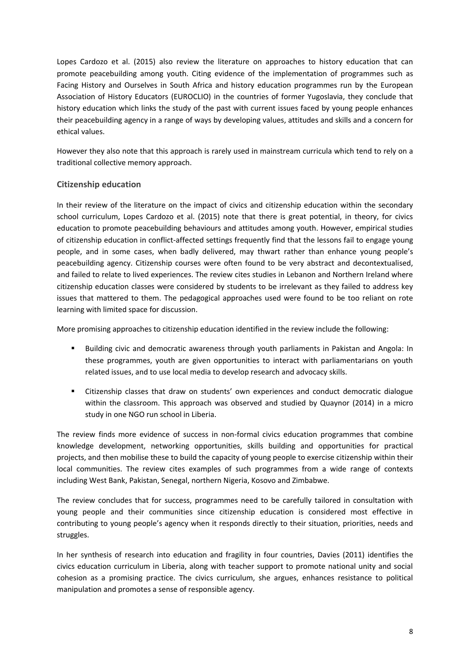Lopes Cardozo et al. (2015) also review the literature on approaches to history education that can promote peacebuilding among youth. Citing evidence of the implementation of programmes such as Facing History and Ourselves in South Africa and history education programmes run by the European Association of History Educators (EUROCLIO) in the countries of former Yugoslavia, they conclude that history education which links the study of the past with current issues faced by young people enhances their peacebuilding agency in a range of ways by developing values, attitudes and skills and a concern for ethical values.

However they also note that this approach is rarely used in mainstream curricula which tend to rely on a traditional collective memory approach.

#### **Citizenship education**

In their review of the literature on the impact of civics and citizenship education within the secondary school curriculum, Lopes Cardozo et al. (2015) note that there is great potential, in theory, for civics education to promote peacebuilding behaviours and attitudes among youth. However, empirical studies of citizenship education in conflict-affected settings frequently find that the lessons fail to engage young people, and in some cases, when badly delivered, may thwart rather than enhance young people's peacebuilding agency. Citizenship courses were often found to be very abstract and decontextualised, and failed to relate to lived experiences. The review cites studies in Lebanon and Northern Ireland where citizenship education classes were considered by students to be irrelevant as they failed to address key issues that mattered to them. The pedagogical approaches used were found to be too reliant on rote learning with limited space for discussion.

More promising approaches to citizenship education identified in the review include the following:

- Building civic and democratic awareness through youth parliaments in Pakistan and Angola: In these programmes, youth are given opportunities to interact with parliamentarians on youth related issues, and to use local media to develop research and advocacy skills.
- Citizenship classes that draw on students' own experiences and conduct democratic dialogue within the classroom. This approach was observed and studied by Quaynor (2014) in a micro study in one NGO run school in Liberia.

The review finds more evidence of success in non-formal civics education programmes that combine knowledge development, networking opportunities, skills building and opportunities for practical projects, and then mobilise these to build the capacity of young people to exercise citizenship within their local communities. The review cites examples of such programmes from a wide range of contexts including West Bank, Pakistan, Senegal, northern Nigeria, Kosovo and Zimbabwe.

The review concludes that for success, programmes need to be carefully tailored in consultation with young people and their communities since citizenship education is considered most effective in contributing to young people's agency when it responds directly to their situation, priorities, needs and struggles.

In her synthesis of research into education and fragility in four countries, Davies (2011) identifies the civics education curriculum in Liberia, along with teacher support to promote national unity and social cohesion as a promising practice. The civics curriculum, she argues, enhances resistance to political manipulation and promotes a sense of responsible agency.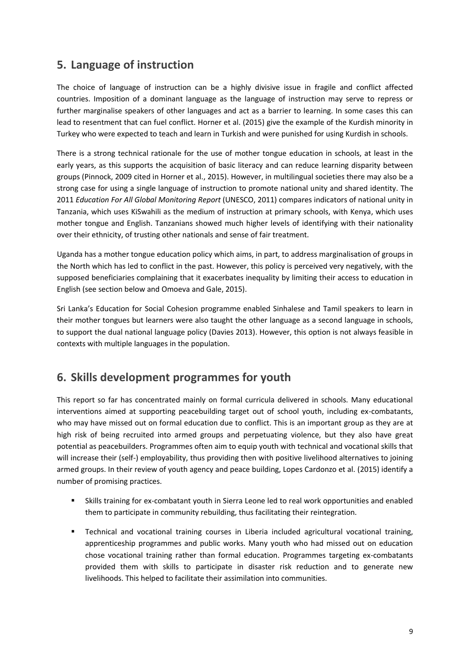### <span id="page-8-0"></span>**5. Language of instruction**

The choice of language of instruction can be a highly divisive issue in fragile and conflict affected countries. Imposition of a dominant language as the language of instruction may serve to repress or further marginalise speakers of other languages and act as a barrier to learning. In some cases this can lead to resentment that can fuel conflict. Horner et al. (2015) give the example of the Kurdish minority in Turkey who were expected to teach and learn in Turkish and were punished for using Kurdish in schools.

There is a strong technical rationale for the use of mother tongue education in schools, at least in the early years, as this supports the acquisition of basic literacy and can reduce learning disparity between groups (Pinnock, 2009 cited in Horner et al., 2015). However, in multilingual societies there may also be a strong case for using a single language of instruction to promote national unity and shared identity. The 2011 *Education For All Global Monitoring Report* (UNESCO, 2011) compares indicators of national unity in Tanzania, which uses KiSwahili as the medium of instruction at primary schools, with Kenya, which uses mother tongue and English. Tanzanians showed much higher levels of identifying with their nationality over their ethnicity, of trusting other nationals and sense of fair treatment.

Uganda has a mother tongue education policy which aims, in part, to address marginalisation of groups in the North which has led to conflict in the past. However, this policy is perceived very negatively, with the supposed beneficiaries complaining that it exacerbates inequality by limiting their access to education in English (see section below and Omoeva and Gale, 2015).

Sri Lanka's Education for Social Cohesion programme enabled Sinhalese and Tamil speakers to learn in their mother tongues but learners were also taught the other language as a second language in schools, to support the dual national language policy (Davies 2013). However, this option is not always feasible in contexts with multiple languages in the population.

### <span id="page-8-1"></span>**6. Skills development programmes for youth**

This report so far has concentrated mainly on formal curricula delivered in schools. Many educational interventions aimed at supporting peacebuilding target out of school youth, including ex-combatants, who may have missed out on formal education due to conflict. This is an important group as they are at high risk of being recruited into armed groups and perpetuating violence, but they also have great potential as peacebuilders. Programmes often aim to equip youth with technical and vocational skills that will increase their (self-) employability, thus providing then with positive livelihood alternatives to joining armed groups. In their review of youth agency and peace building, Lopes Cardonzo et al. (2015) identify a number of promising practices.

- Skills training for ex-combatant youth in Sierra Leone led to real work opportunities and enabled them to participate in community rebuilding, thus facilitating their reintegration.
- Technical and vocational training courses in Liberia included agricultural vocational training, apprenticeship programmes and public works. Many youth who had missed out on education chose vocational training rather than formal education. Programmes targeting ex-combatants provided them with skills to participate in disaster risk reduction and to generate new livelihoods. This helped to facilitate their assimilation into communities.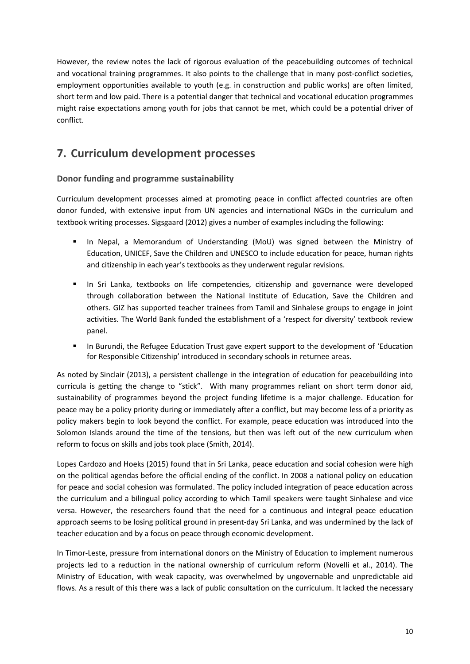However, the review notes the lack of rigorous evaluation of the peacebuilding outcomes of technical and vocational training programmes. It also points to the challenge that in many post-conflict societies, employment opportunities available to youth (e.g. in construction and public works) are often limited, short term and low paid. There is a potential danger that technical and vocational education programmes might raise expectations among youth for jobs that cannot be met, which could be a potential driver of conflict.

## <span id="page-9-0"></span>**7. Curriculum development processes**

### **Donor funding and programme sustainability**

Curriculum development processes aimed at promoting peace in conflict affected countries are often donor funded, with extensive input from UN agencies and international NGOs in the curriculum and textbook writing processes. Sigsgaard (2012) gives a number of examples including the following:

- In Nepal, a Memorandum of Understanding (MoU) was signed between the Ministry of Education, UNICEF, Save the Children and UNESCO to include education for peace, human rights and citizenship in each year's textbooks as they underwent regular revisions.
- In Sri Lanka, textbooks on life competencies, citizenship and governance were developed through collaboration between the National Institute of Education, Save the Children and others. GIZ has supported teacher trainees from Tamil and Sinhalese groups to engage in joint activities. The World Bank funded the establishment of a 'respect for diversity' textbook review panel.
- In Burundi, the Refugee Education Trust gave expert support to the development of 'Education for Responsible Citizenship' introduced in secondary schools in returnee areas.

As noted by Sinclair (2013), a persistent challenge in the integration of education for peacebuilding into curricula is getting the change to "stick". With many programmes reliant on short term donor aid, sustainability of programmes beyond the project funding lifetime is a major challenge. Education for peace may be a policy priority during or immediately after a conflict, but may become less of a priority as policy makers begin to look beyond the conflict. For example, peace education was introduced into the Solomon Islands around the time of the tensions, but then was left out of the new curriculum when reform to focus on skills and jobs took place (Smith, 2014).

Lopes Cardozo and Hoeks (2015) found that in Sri Lanka, peace education and social cohesion were high on the political agendas before the official ending of the conflict. In 2008 a national policy on education for peace and social cohesion was formulated. The policy included integration of peace education across the curriculum and a bilingual policy according to which Tamil speakers were taught Sinhalese and vice versa. However, the researchers found that the need for a continuous and integral peace education approach seems to be losing political ground in present-day Sri Lanka, and was undermined by the lack of teacher education and by a focus on peace through economic development.

In Timor-Leste, pressure from international donors on the Ministry of Education to implement numerous projects led to a reduction in the national ownership of curriculum reform (Novelli et al., 2014). The Ministry of Education, with weak capacity, was overwhelmed by ungovernable and unpredictable aid flows. As a result of this there was a lack of public consultation on the curriculum. It lacked the necessary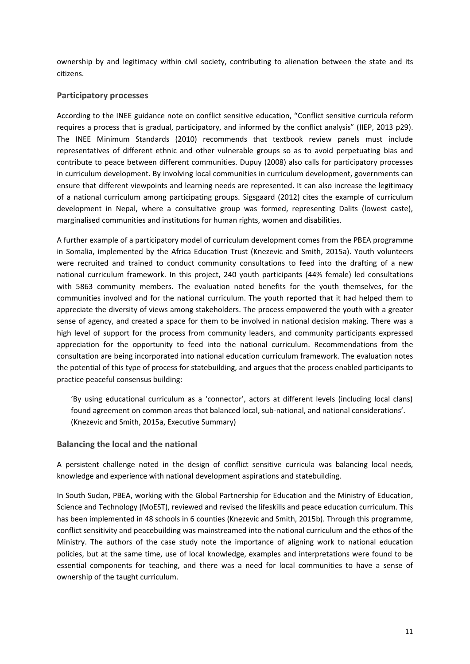ownership by and legitimacy within civil society, contributing to alienation between the state and its citizens.

#### **Participatory processes**

According to the INEE guidance note on conflict sensitive education, "Conflict sensitive curricula reform requires a process that is gradual, participatory, and informed by the conflict analysis" (IIEP, 2013 p29). The INEE Minimum Standards (2010) recommends that textbook review panels must include representatives of different ethnic and other vulnerable groups so as to avoid perpetuating bias and contribute to peace between different communities. Dupuy (2008) also calls for participatory processes in curriculum development. By involving local communities in curriculum development, governments can ensure that different viewpoints and learning needs are represented. It can also increase the legitimacy of a national curriculum among participating groups. Sigsgaard (2012) cites the example of curriculum development in Nepal, where a consultative group was formed, representing Dalits (lowest caste), marginalised communities and institutions for human rights, women and disabilities.

A further example of a participatory model of curriculum development comes from the PBEA programme in Somalia, implemented by the Africa Education Trust (Knezevic and Smith, 2015a). Youth volunteers were recruited and trained to conduct community consultations to feed into the drafting of a new national curriculum framework. In this project, 240 youth participants (44% female) led consultations with 5863 community members. The evaluation noted benefits for the youth themselves, for the communities involved and for the national curriculum. The youth reported that it had helped them to appreciate the diversity of views among stakeholders. The process empowered the youth with a greater sense of agency, and created a space for them to be involved in national decision making. There was a high level of support for the process from community leaders, and community participants expressed appreciation for the opportunity to feed into the national curriculum. Recommendations from the consultation are being incorporated into national education curriculum framework. The evaluation notes the potential of this type of process for statebuilding, and argues that the process enabled participants to practice peaceful consensus building:

'By using educational curriculum as a 'connector', actors at different levels (including local clans) found agreement on common areas that balanced local, sub-national, and national considerations'. (Knezevic and Smith, 2015a, Executive Summary)

#### **Balancing the local and the national**

A persistent challenge noted in the design of conflict sensitive curricula was balancing local needs, knowledge and experience with national development aspirations and statebuilding.

In South Sudan, PBEA, working with the Global Partnership for Education and the Ministry of Education, Science and Technology (MoEST), reviewed and revised the lifeskills and peace education curriculum. This has been implemented in 48 schools in 6 counties (Knezevic and Smith, 2015b). Through this programme, conflict sensitivity and peacebuilding was mainstreamed into the national curriculum and the ethos of the Ministry. The authors of the case study note the importance of aligning work to national education policies, but at the same time, use of local knowledge, examples and interpretations were found to be essential components for teaching, and there was a need for local communities to have a sense of ownership of the taught curriculum.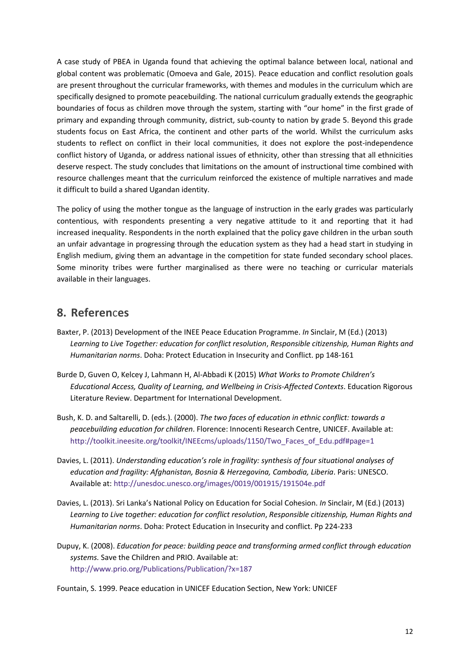A case study of PBEA in Uganda found that achieving the optimal balance between local, national and global content was problematic (Omoeva and Gale, 2015). Peace education and conflict resolution goals are present throughout the curricular frameworks, with themes and modules in the curriculum which are specifically designed to promote peacebuilding. The national curriculum gradually extends the geographic boundaries of focus as children move through the system, starting with "our home" in the first grade of primary and expanding through community, district, sub-county to nation by grade 5. Beyond this grade students focus on East Africa, the continent and other parts of the world. Whilst the curriculum asks students to reflect on conflict in their local communities, it does not explore the post-independence conflict history of Uganda, or address national issues of ethnicity, other than stressing that all ethnicities deserve respect. The study concludes that limitations on the amount of instructional time combined with resource challenges meant that the curriculum reinforced the existence of multiple narratives and made it difficult to build a shared Ugandan identity.

The policy of using the mother tongue as the language of instruction in the early grades was particularly contentious, with respondents presenting a very negative attitude to it and reporting that it had increased inequality. Respondents in the north explained that the policy gave children in the urban south an unfair advantage in progressing through the education system as they had a head start in studying in English medium, giving them an advantage in the competition for state funded secondary school places. Some minority tribes were further marginalised as there were no teaching or curricular materials available in their languages.

### <span id="page-11-0"></span>**8. Referen**c**es**

- Baxter, P. (2013) Development of the INEE Peace Education Programme. *In* Sinclair, M (Ed.) (2013) *Learning to Live Together: education for conflict resolution*, *Responsible citizenship, Human Rights and Humanitarian norms*. Doha: Protect Education in Insecurity and Conflict. pp 148-161
- Burde D, Guven O, Kelcey J, Lahmann H, Al-Abbadi K (2015) *What Works to Promote Children's Educational Access, Quality of Learning, and Wellbeing in Crisis-Affected Contexts*. Education Rigorous Literature Review. Department for International Development.
- Bush, K. D. and Saltarelli, D. (eds.). (2000). *The two faces of education in ethnic conflict: towards a peacebuilding education for children*. Florence: Innocenti Research Centre, UNICEF. Available at: [http://toolkit.ineesite.org/toolkit/INEEcms/uploads/1150/Two\\_Faces\\_of\\_Edu.pdf#page=1](http://toolkit.ineesite.org/toolkit/INEEcms/uploads/1150/Two_Faces_of_Edu.pdf#page=1)
- Davies, L. (2011). *Understanding education's role in fragility: synthesis of four situational analyses of education and fragility: Afghanistan, Bosnia & Herzegovina, Cambodia, Liberia*. Paris: UNESCO. Available at:<http://unesdoc.unesco.org/images/0019/001915/191504e.pdf>
- Davies, L. (2013). Sri Lanka's National Policy on Education for Social Cohesion. *In* Sinclair, M (Ed.) (2013) *Learning to Live together: education for conflict resolution*, *Responsible citizenship, Human Rights and Humanitarian norms*. Doha: Protect Education in Insecurity and conflict. Pp 224-233
- Dupuy, K. (2008). *Education for peace: building peace and transforming armed conflict through education systems.* Save the Children and PRIO. Available at: <http://www.prio.org/Publications/Publication/?x=187>

Fountain, S. 1999. Peace education in UNICEF Education Section, New York: UNICEF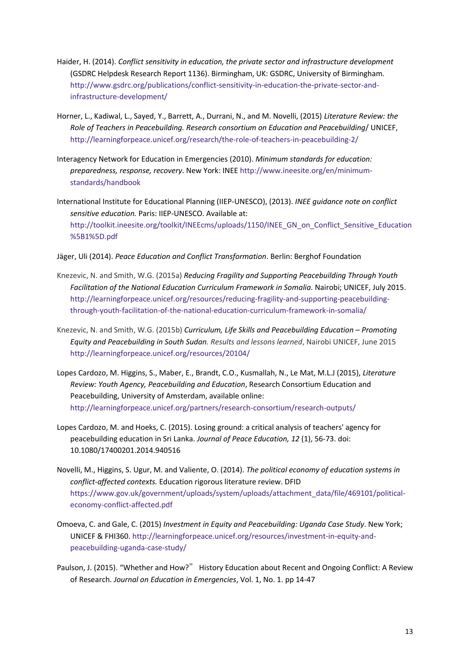- Haider, H. (2014). *Conflict sensitivity in education, the private sector and infrastructure development*  (GSDRC Helpdesk Research Report 1136). Birmingham, UK: GSDRC, University of Birmingham. [http://www.gsdrc.org/publications/conflict-sensitivity-in-education-the-private-sector-and](http://www.gsdrc.org/publications/conflict-sensitivity-in-education-the-private-sector-and-infrastructure-development/)[infrastructure-development/](http://www.gsdrc.org/publications/conflict-sensitivity-in-education-the-private-sector-and-infrastructure-development/)
- Horner, L., Kadiwal, L., Sayed, Y., Barrett, A., Durrani, N., and M. Novelli, (2015) *Literature Review: the Role of Teachers in Peacebuilding. Research consortium on Education and Peacebuilding*/ UNICEF, <http://learningforpeace.unicef.org/research/the-role-of-teachers-in-peacebuilding-2/>
- Interagency Network for Education in Emergencies (2010). *Minimum standards for education: preparedness, response, recovery*. New York: INEE [http://www.ineesite.org/en/minimum](http://www.ineesite.org/en/minimum-standards/handbook)[standards/handbook](http://www.ineesite.org/en/minimum-standards/handbook)
- International Institute for Educational Planning (IIEP-UNESCO), (2013). *INEE guidance note on conflict sensitive education.* Paris: IIEP-UNESCO. Available at: [http://toolkit.ineesite.org/toolkit/INEEcms/uploads/1150/INEE\\_GN\\_on\\_Conflict\\_Sensitive\\_Education](http://toolkit.ineesite.org/toolkit/INEEcms/uploads/1150/INEE_GN_on_Conflict_Sensitive_Education%5B1%5D.pdf) [%5B1%5D.pdf](http://toolkit.ineesite.org/toolkit/INEEcms/uploads/1150/INEE_GN_on_Conflict_Sensitive_Education%5B1%5D.pdf)
- Jäger, Uli (2014). *Peace Education and Conflict Transformation*. Berlin: Berghof Foundation
- Knezevic, N. and Smith, W.G. (2015a) *[Reducing Fragility and Supporting Peacebuilding Through Youth](http://learningforpeace.unicef.org/resources/reducing-fragility-and-supporting-peacebuilding-through-youth-facilitation-of-the-national-education-curriculum-framework-in-somalia/)  [Facilitation of the National Education Curriculum Framework in Somalia.](http://learningforpeace.unicef.org/resources/reducing-fragility-and-supporting-peacebuilding-through-youth-facilitation-of-the-national-education-curriculum-framework-in-somalia/)* Nairobi; UNICEF, July 2015. [http://learningforpeace.unicef.org/resources/reducing-fragility-and-supporting-peacebuilding](http://learningforpeace.unicef.org/resources/reducing-fragility-and-supporting-peacebuilding-through-youth-facilitation-of-the-national-education-curriculum-framework-in-somalia/)[through-youth-facilitation-of-the-national-education-curriculum-framework-in-somalia/](http://learningforpeace.unicef.org/resources/reducing-fragility-and-supporting-peacebuilding-through-youth-facilitation-of-the-national-education-curriculum-framework-in-somalia/)
- Knezevic, N. and Smith, W.G. (2015b) *[Curriculum, Life Skills and Peacebuilding Education](http://learningforpeace.unicef.org/resources/20104/)  Promoting [Equity and Peacebuilding in South Sudan.](http://learningforpeace.unicef.org/resources/20104/) Results and lessons learned*, Nairobi UNICEF, June 2015 <http://learningforpeace.unicef.org/resources/20104/>
- Lopes Cardozo, M. Higgins, S., Maber, E., Brandt, C.O., Kusmallah, N., Le Mat, M.L.J (2015), *Literature Review: Youth Agency, Peacebuilding and Education*, Research Consortium Education and Peacebuilding, University of Amsterdam, available online: <http://learningforpeace.unicef.org/partners/research‐consortium/research‐outputs/>
- Lopes Cardozo, M. and Hoeks, C. (2015). [Losing ground: a critical analysis of teachers' agency for](http://hdl.handle.net/11245/1.433278)  [peacebuilding education in Sri Lanka.](http://hdl.handle.net/11245/1.433278) *Journal of Peace Education, 12* (1), 56-73. doi: 10.1080/17400201.2014.940516
- Novelli, M., Higgins, S. Ugur, M. and Valiente, O. (2014). *The political economy of education systems in conflict-affected contexts.* Education rigorous literature review. DFID [https://www.gov.uk/government/uploads/system/uploads/attachment\\_data/file/469101/political](https://www.gov.uk/government/uploads/system/uploads/attachment_data/file/469101/political-economy-conflict-affected.pdf)[economy-conflict-affected.pdf](https://www.gov.uk/government/uploads/system/uploads/attachment_data/file/469101/political-economy-conflict-affected.pdf)
- Omoeva, C. and Gale, C. (2015) *[Investment in Equity and Peacebuilding: Uganda Case Study](http://learningforpeace.unicef.org/resources/investment-in-equity-and-peacebuilding-uganda-case-study/)*. New York; UNICEF & FHI360[. http://learningforpeace.unicef.org/resources/investment-in-equity-and](http://learningforpeace.unicef.org/resources/investment-in-equity-and-peacebuilding-uganda-case-study/)[peacebuilding-uganda-case-study/](http://learningforpeace.unicef.org/resources/investment-in-equity-and-peacebuilding-uganda-case-study/)
- Paulson, J. (2015). "Whether and How?" History Education about Recent and Ongoing Conflict: A Review of Research. *Journal on Education in Emergencies*, Vol. 1, No. 1. pp 14-47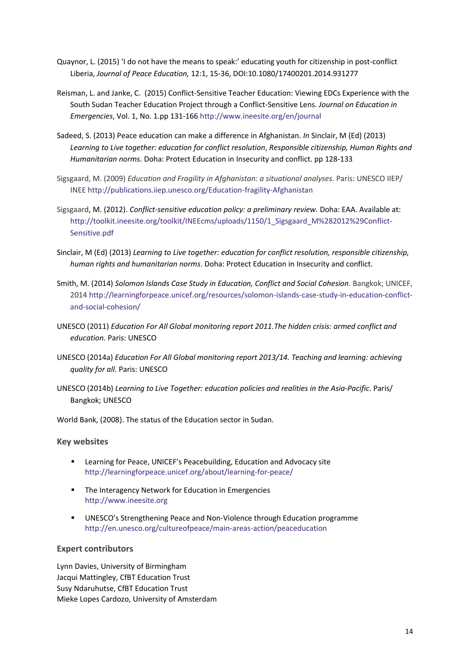- Quaynor, L. (2015) 'I do not have the means to speak:' educating youth for citizenship in post-conflict Liberia, *Journal of Peace Education,* 12:1, 15-36, DOI:10.1080/17400201.2014.931277
- Reisman, L. and Janke, C. (2015) Conflict-Sensitive Teacher Education: Viewing EDCs Experience with the South Sudan Teacher Education Project through a Conflict-Sensitive Lens. *Journal on Education in Emergencies*, Vol. 1, No. 1.pp 131-166 <http://www.ineesite.org/en/journal>
- Sadeed, S. (2013) Peace education can make a difference in Afghanistan. *In* Sinclair, M (Ed) (2013) *Learning to Live together: education for conflict resolution*, *Responsible citizenship, Human Rights and Humanitarian norms.* Doha: Protect Education in Insecurity and conflict. pp 128-133
- Sigsgaard, M. (2009) *Education and Fragility in Afghanistan: a situational analyses*. Paris: UNESCO IIEP/ INEE <http://publications.iiep.unesco.org/Education-fragility-Afghanistan>
- Sigsgaard, M. (2012). *Conflict-sensitive education policy: a preliminary review.* Doha: EAA. Available at: [http://toolkit.ineesite.org/toolkit/INEEcms/uploads/1150/1\\_Sigsgaard\\_M%282012%29Conflict-](http://toolkit.ineesite.org/toolkit/INEEcms/uploads/1150/1_Sigsgaard_M%282012%29Conflict-Sensitive.pdf)[Sensitive.pdf](http://toolkit.ineesite.org/toolkit/INEEcms/uploads/1150/1_Sigsgaard_M%282012%29Conflict-Sensitive.pdf)
- Sinclair, M (Ed) (2013) *Learning to Live together: education for conflict resolution, responsible citizenship, human rights and humanitarian norms*. Doha: Protect Education in Insecurity and conflict.
- Smith, M. (2014) *[Solomon Islands Case Study in Education, Conflict and Social Cohesion](http://learningforpeace.unicef.org/resources/solomon-islands-case-study-in-education-conflict-and-social-cohesion/)*. Bangkok; UNICEF, 201[4 http://learningforpeace.unicef.org/resources/solomon-islands-case-study-in-education-conflict](http://learningforpeace.unicef.org/resources/solomon-islands-case-study-in-education-conflict-and-social-cohesion/)[and-social-cohesion/](http://learningforpeace.unicef.org/resources/solomon-islands-case-study-in-education-conflict-and-social-cohesion/)
- UNESCO (2011) *Education For All Global monitoring report 2011.The hidden crisis: armed conflict and education*. Paris: UNESCO
- UNESCO (2014a) *Education For All Global monitoring report 2013/14. Teaching and learning: achieving quality for all.* Paris: UNESCO
- UNESCO (2014b) *Learning to Live Together: education policies and realities in the Asia-Pacific*. Paris/ Bangkok; UNESCO

World Bank, (2008). The status of the Education sector in Sudan.

#### **Key websites**

- Learning for Peace, UNICEF's Peacebuilding, Education and Advocacy site <http://learningforpeace.unicef.org/about/learning-for-peace/>
- **The Interagency Network for Education in Emergencies** [http://www.ineesite.org](http://www.ineesite.org/)
- UNESCO's Strengthening Peace and Non-Violence through Education programme <http://en.unesco.org/cultureofpeace/main-areas-action/peaceducation>

#### **Expert contributors**

Lynn Davies, University of Birmingham Jacqui Mattingley, CfBT Education Trust Susy Ndaruhutse, CfBT Education Trust Mieke Lopes Cardozo, University of Amsterdam